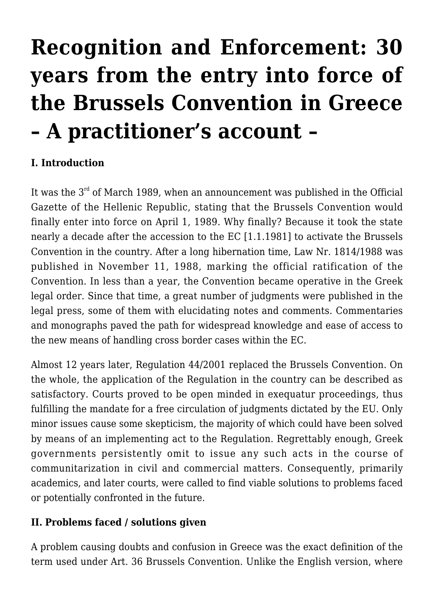## **[Recognition and Enforcement: 30](https://conflictoflaws.net/2019/recognition-and-enforcement-30-years-from-the-entry-into-force-of-the-brussels-convention-in-greece-a-practitioners-account/) [years from the entry into force of](https://conflictoflaws.net/2019/recognition-and-enforcement-30-years-from-the-entry-into-force-of-the-brussels-convention-in-greece-a-practitioners-account/) [the Brussels Convention in Greece](https://conflictoflaws.net/2019/recognition-and-enforcement-30-years-from-the-entry-into-force-of-the-brussels-convention-in-greece-a-practitioners-account/) [– A practitioner's account –](https://conflictoflaws.net/2019/recognition-and-enforcement-30-years-from-the-entry-into-force-of-the-brussels-convention-in-greece-a-practitioners-account/)**

## **I. Introduction**

It was the  $3<sup>rd</sup>$  of March 1989, when an announcement was published in the Official Gazette of the Hellenic Republic, stating that the Brussels Convention would finally enter into force on April 1, 1989. Why finally? Because it took the state nearly a decade after the accession to the EC [1.1.1981] to activate the Brussels Convention in the country. After a long hibernation time, Law Nr. 1814/1988 was published in November 11, 1988, marking the official ratification of the Convention. In less than a year, the Convention became operative in the Greek legal order. Since that time, a great number of judgments were published in the legal press, some of them with elucidating notes and comments. Commentaries and monographs paved the path for widespread knowledge and ease of access to the new means of handling cross border cases within the EC.

Almost 12 years later, Regulation 44/2001 replaced the Brussels Convention. On the whole, the application of the Regulation in the country can be described as satisfactory. Courts proved to be open minded in exequatur proceedings, thus fulfilling the mandate for a free circulation of judgments dictated by the EU. Only minor issues cause some skepticism, the majority of which could have been solved by means of an implementing act to the Regulation. Regrettably enough, Greek governments persistently omit to issue any such acts in the course of communitarization in civil and commercial matters. Consequently, primarily academics, and later courts, were called to find viable solutions to problems faced or potentially confronted in the future.

## **II. Problems faced / solutions given**

A problem causing doubts and confusion in Greece was the exact definition of the term used under Art. 36 Brussels Convention. Unlike the English version, where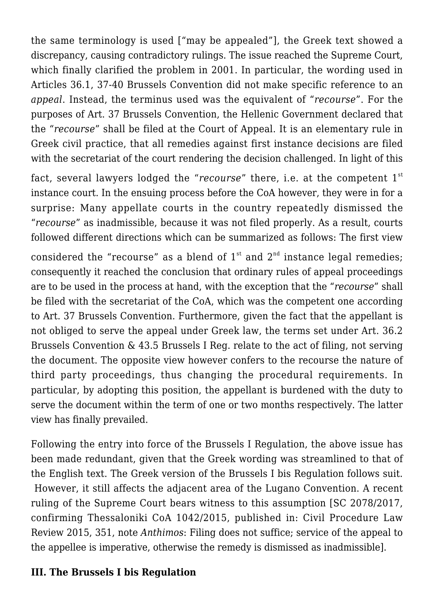the same terminology is used ["may be appealed"], the Greek text showed a discrepancy, causing contradictory rulings. The issue reached the Supreme Court, which finally clarified the problem in 2001. In particular, the wording used in Articles 36.1, 37-40 Brussels Convention did not make specific reference to an *appeal*. Instead, the terminus used was the equivalent of "*recourse*". For the purposes of Art. 37 Brussels Convention, the Hellenic Government declared that the "*recourse*" shall be filed at the Court of Appeal. It is an elementary rule in Greek civil practice, that all remedies against first instance decisions are filed with the secretariat of the court rendering the decision challenged. In light of this

fact, several lawyers lodged the "*recourse*" there, i.e. at the competent 1<sup>st</sup> instance court. In the ensuing process before the CoA however, they were in for a surprise: Many appellate courts in the country repeatedly dismissed the "*recourse*" as inadmissible, because it was not filed properly. As a result, courts followed different directions which can be summarized as follows: The first view

considered the "recourse" as a blend of  $1^{st}$  and  $2^{nd}$  instance legal remedies: consequently it reached the conclusion that ordinary rules of appeal proceedings are to be used in the process at hand, with the exception that the "*recourse*" shall be filed with the secretariat of the CoA, which was the competent one according to Art. 37 Brussels Convention. Furthermore, given the fact that the appellant is not obliged to serve the appeal under Greek law, the terms set under Art. 36.2 Brussels Convention & 43.5 Brussels I Reg. relate to the act of filing, not serving the document. The opposite view however confers to the recourse the nature of third party proceedings, thus changing the procedural requirements. In particular, by adopting this position, the appellant is burdened with the duty to serve the document within the term of one or two months respectively. The latter view has finally prevailed.

Following the entry into force of the Brussels I Regulation, the above issue has been made redundant, given that the Greek wording was streamlined to that of the English text. The Greek version of the Brussels I bis Regulation follows suit. However, it still affects the adjacent area of the Lugano Convention. A recent ruling of the Supreme Court bears witness to this assumption [SC 2078/2017, confirming Thessaloniki CoA 1042/2015, published in: Civil Procedure Law Review 2015, 351, note *Anthimos*: Filing does not suffice; service of the appeal to the appellee is imperative, otherwise the remedy is dismissed as inadmissible].

## **III. The Brussels I bis Regulation**